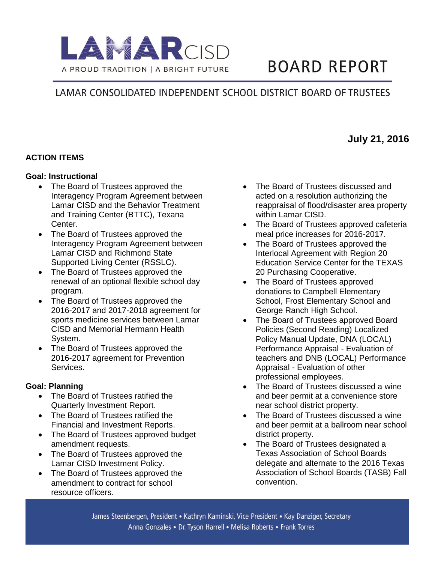

# **BOARD REPORT**

## LAMAR CONSOLIDATED INDEPENDENT SCHOOL DISTRICT BOARD OF TRUSTEES

#### **ACTION ITEMS**

#### **Goal: Instructional**

- The Board of Trustees approved the Interagency Program Agreement between Lamar CISD and the Behavior Treatment and Training Center (BTTC), Texana Center.
- The Board of Trustees approved the Interagency Program Agreement between Lamar CISD and Richmond State Supported Living Center (RSSLC).
- The Board of Trustees approved the renewal of an optional flexible school day program.
- The Board of Trustees approved the 2016-2017 and 2017-2018 agreement for sports medicine services between Lamar CISD and Memorial Hermann Health System.
- The Board of Trustees approved the 2016-2017 agreement for Prevention Services.

#### **Goal: Planning**

- The Board of Trustees ratified the Quarterly Investment Report.
- The Board of Trustees ratified the Financial and Investment Reports.
- The Board of Trustees approved budget amendment requests.
- The Board of Trustees approved the Lamar CISD Investment Policy.
- The Board of Trustees approved the amendment to contract for school resource officers.
- The Board of Trustees discussed and acted on a resolution authorizing the reappraisal of flood/disaster area property within Lamar CISD.
- The Board of Trustees approved cafeteria meal price increases for 2016-2017.
- The Board of Trustees approved the Interlocal Agreement with Region 20 Education Service Center for the TEXAS 20 Purchasing Cooperative.
- The Board of Trustees approved donations to Campbell Elementary School, Frost Elementary School and George Ranch High School.
- The Board of Trustees approved Board Policies (Second Reading) Localized Policy Manual Update, DNA (LOCAL) Performance Appraisal - Evaluation of teachers and DNB (LOCAL) Performance Appraisal - Evaluation of other professional employees.
- The Board of Trustees discussed a wine and beer permit at a convenience store near school district property.
- The Board of Trustees discussed a wine and beer permit at a ballroom near school district property.
- The Board of Trustees designated a Texas Association of School Boards delegate and alternate to the 2016 Texas Association of School Boards (TASB) Fall convention.

James Steenbergen, President • Kathryn Kaminski, Vice President • Kay Danziger, Secretary Anna Gonzales • Dr. Tyson Harrell • Melisa Roberts • Frank Torres

### **July 21, 2016**